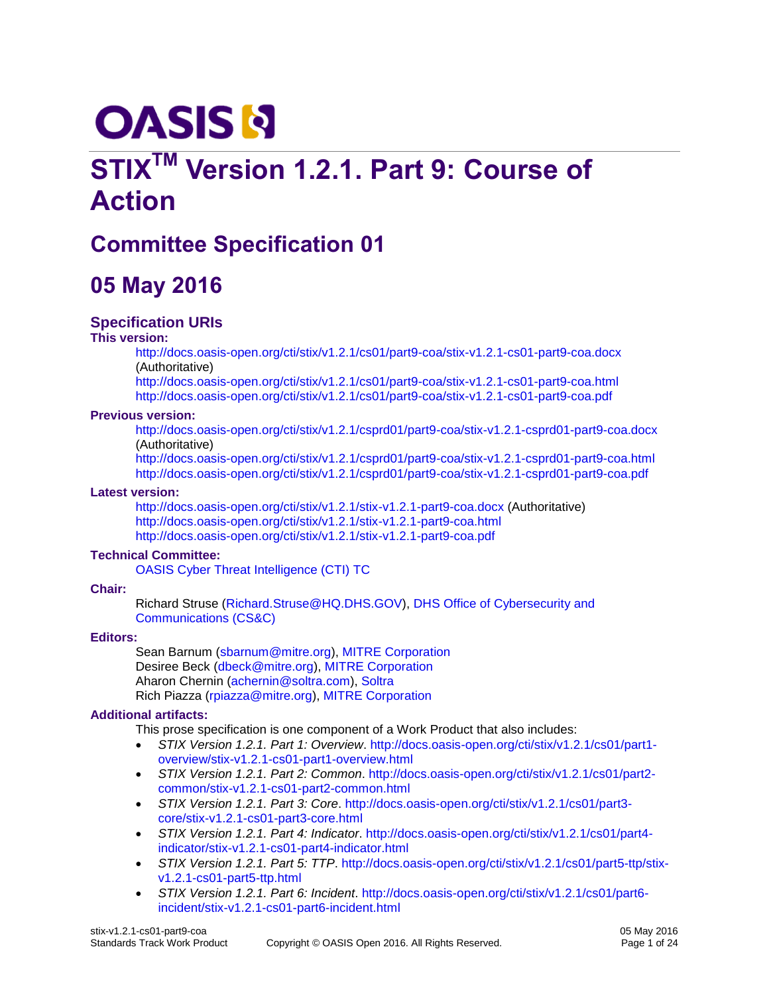# **OASIS N**

## **STIXTM Version 1.2.1. Part 9: Course of Action**

## **Committee Specification 01**

### **05 May 2016**

#### **Specification URIs**

#### **This version:**

<http://docs.oasis-open.org/cti/stix/v1.2.1/cs01/part9-coa/stix-v1.2.1-cs01-part9-coa.docx> (Authoritative)

<http://docs.oasis-open.org/cti/stix/v1.2.1/cs01/part9-coa/stix-v1.2.1-cs01-part9-coa.html> <http://docs.oasis-open.org/cti/stix/v1.2.1/cs01/part9-coa/stix-v1.2.1-cs01-part9-coa.pdf>

#### **Previous version:**

<http://docs.oasis-open.org/cti/stix/v1.2.1/csprd01/part9-coa/stix-v1.2.1-csprd01-part9-coa.docx> (Authoritative)

<http://docs.oasis-open.org/cti/stix/v1.2.1/csprd01/part9-coa/stix-v1.2.1-csprd01-part9-coa.html> <http://docs.oasis-open.org/cti/stix/v1.2.1/csprd01/part9-coa/stix-v1.2.1-csprd01-part9-coa.pdf>

#### <span id="page-0-1"></span>**Latest version:**

<http://docs.oasis-open.org/cti/stix/v1.2.1/stix-v1.2.1-part9-coa.docx> (Authoritative) <http://docs.oasis-open.org/cti/stix/v1.2.1/stix-v1.2.1-part9-coa.html> <http://docs.oasis-open.org/cti/stix/v1.2.1/stix-v1.2.1-part9-coa.pdf>

#### **Technical Committee:**

[OASIS Cyber Threat Intelligence \(CTI\) TC](https://www.oasis-open.org/committees/cti/)

#### **Chair:**

Richard Struse [\(Richard.Struse@HQ.DHS.GOV\)](mailto:Richard.Struse@HQ.DHS.GOV), [DHS Office of Cybersecurity and](http://www.dhs.gov/office-cybersecurity-and-communications)  [Communications \(CS&C\)](http://www.dhs.gov/office-cybersecurity-and-communications)

#### **Editors:**

Sean Barnum [\(sbarnum@mitre.org\)](mailto:sbarnum@mitre.org), [MITRE Corporation](http://www.mitre.org/) Desiree Beck [\(dbeck@mitre.org\)](mailto:dbeck@mitre.org), [MITRE Corporation](http://www.mitre.org/) Aharon Chernin [\(achernin@soltra.com\)](mailto:achernin@soltra.com)[, Soltra](http://www.soltra.com/) Rich Piazza [\(rpiazza@mitre.org\)](mailto:rpiazza@mitre.org), [MITRE Corporation](http://www.mitre.org/)

#### <span id="page-0-0"></span>**Additional artifacts:**

This prose specification is one component of a Work Product that also includes:

- *STIX Version 1.2.1. Part 1: Overview*. [http://docs.oasis-open.org/cti/stix/v1.2.1/cs01/part1](http://docs.oasis-open.org/cti/stix/v1.2.1/cs01/part1-overview/stix-v1.2.1-cs01-part1-overview.html) [overview/stix-v1.2.1-cs01-part1-overview.html](http://docs.oasis-open.org/cti/stix/v1.2.1/cs01/part1-overview/stix-v1.2.1-cs01-part1-overview.html)
- *STIX Version 1.2.1. Part 2: Common*. [http://docs.oasis-open.org/cti/stix/v1.2.1/cs01/part2](http://docs.oasis-open.org/cti/stix/v1.2.1/cs01/part2-common/stix-v1.2.1-cs01-part2-common.html) [common/stix-v1.2.1-cs01-part2-common.html](http://docs.oasis-open.org/cti/stix/v1.2.1/cs01/part2-common/stix-v1.2.1-cs01-part2-common.html)
- *STIX Version 1.2.1. Part 3: Core*. [http://docs.oasis-open.org/cti/stix/v1.2.1/cs01/part3](http://docs.oasis-open.org/cti/stix/v1.2.1/cs01/part3-core/stix-v1.2.1-cs01-part3-core.html) [core/stix-v1.2.1-cs01-part3-core.html](http://docs.oasis-open.org/cti/stix/v1.2.1/cs01/part3-core/stix-v1.2.1-cs01-part3-core.html)
- *STIX Version 1.2.1. Part 4: Indicator*. [http://docs.oasis-open.org/cti/stix/v1.2.1/cs01/part4](http://docs.oasis-open.org/cti/stix/v1.2.1/cs01/part4-indicator/stix-v1.2.1-cs01-part4-indicator.html) [indicator/stix-v1.2.1-cs01-part4-indicator.html](http://docs.oasis-open.org/cti/stix/v1.2.1/cs01/part4-indicator/stix-v1.2.1-cs01-part4-indicator.html)
- *STIX Version 1.2.1. Part 5: TTP*. [http://docs.oasis-open.org/cti/stix/v1.2.1/cs01/part5-ttp/stix](http://docs.oasis-open.org/cti/stix/v1.2.1/cs01/part5-ttp/stix-v1.2.1-cs01-part5-ttp.html)[v1.2.1-cs01-part5-ttp.html](http://docs.oasis-open.org/cti/stix/v1.2.1/cs01/part5-ttp/stix-v1.2.1-cs01-part5-ttp.html)
- *STIX Version 1.2.1. Part 6: Incident*. [http://docs.oasis-open.org/cti/stix/v1.2.1/cs01/part6](http://docs.oasis-open.org/cti/stix/v1.2.1/cs01/part6-incident/stix-v1.2.1-cs01-part6-incident.html) [incident/stix-v1.2.1-cs01-part6-incident.html](http://docs.oasis-open.org/cti/stix/v1.2.1/cs01/part6-incident/stix-v1.2.1-cs01-part6-incident.html)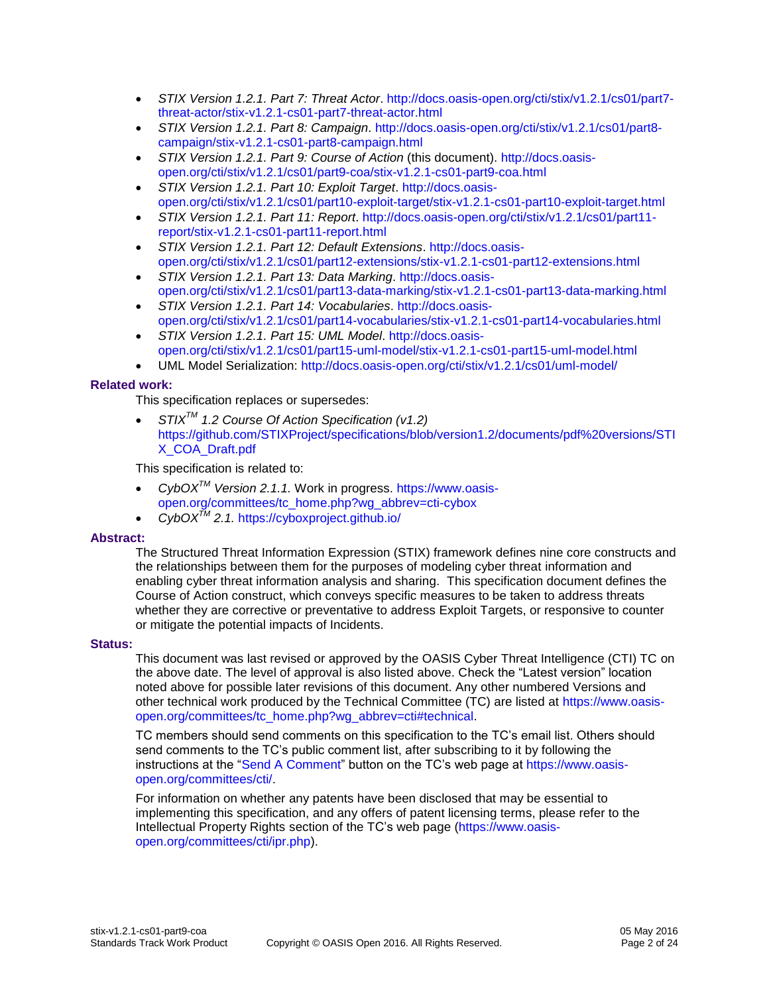- *STIX Version 1.2.1. Part 7: Threat Actor*. [http://docs.oasis-open.org/cti/stix/v1.2.1/cs01/part7](http://docs.oasis-open.org/cti/stix/v1.2.1/cs01/part7-threat-actor/stix-v1.2.1-cs01-part7-threat-actor.html) [threat-actor/stix-v1.2.1-cs01-part7-threat-actor.html](http://docs.oasis-open.org/cti/stix/v1.2.1/cs01/part7-threat-actor/stix-v1.2.1-cs01-part7-threat-actor.html)
- *STIX Version 1.2.1. Part 8: Campaign*. [http://docs.oasis-open.org/cti/stix/v1.2.1/cs01/part8](http://docs.oasis-open.org/cti/stix/v1.2.1/cs01/part8-campaign/stix-v1.2.1-cs01-part8-campaign.html) [campaign/stix-v1.2.1-cs01-part8-campaign.html](http://docs.oasis-open.org/cti/stix/v1.2.1/cs01/part8-campaign/stix-v1.2.1-cs01-part8-campaign.html)
- *STIX Version 1.2.1. Part 9: Course of Action* (this document). [http://docs.oasis](http://docs.oasis-open.org/cti/stix/v1.2.1/cs01/part9-coa/stix-v1.2.1-cs01-part9-coa.html)[open.org/cti/stix/v1.2.1/cs01/part9-coa/stix-v1.2.1-cs01-part9-coa.html](http://docs.oasis-open.org/cti/stix/v1.2.1/cs01/part9-coa/stix-v1.2.1-cs01-part9-coa.html)
- *STIX Version 1.2.1. Part 10: Exploit Target*. [http://docs.oasis](http://docs.oasis-open.org/cti/stix/v1.2.1/cs01/part10-exploit-target/stix-v1.2.1-cs01-part10-exploit-target.html)[open.org/cti/stix/v1.2.1/cs01/part10-exploit-target/stix-v1.2.1-cs01-part10-exploit-target.html](http://docs.oasis-open.org/cti/stix/v1.2.1/cs01/part10-exploit-target/stix-v1.2.1-cs01-part10-exploit-target.html)
- *STIX Version 1.2.1. Part 11: Report*. [http://docs.oasis-open.org/cti/stix/v1.2.1/cs01/part11](http://docs.oasis-open.org/cti/stix/v1.2.1/cs01/part11-report/stix-v1.2.1-cs01-part11-report.html) [report/stix-v1.2.1-cs01-part11-report.html](http://docs.oasis-open.org/cti/stix/v1.2.1/cs01/part11-report/stix-v1.2.1-cs01-part11-report.html)
- *STIX Version 1.2.1. Part 12: Default Extensions*. [http://docs.oasis](http://docs.oasis-open.org/cti/stix/v1.2.1/cs01/part12-extensions/stix-v1.2.1-cs01-part12-extensions.html)[open.org/cti/stix/v1.2.1/cs01/part12-extensions/stix-v1.2.1-cs01-part12-extensions.html](http://docs.oasis-open.org/cti/stix/v1.2.1/cs01/part12-extensions/stix-v1.2.1-cs01-part12-extensions.html)
- *STIX Version 1.2.1. Part 13: Data Marking*. [http://docs.oasis](http://docs.oasis-open.org/cti/stix/v1.2.1/cs01/part13-data-marking/stix-v1.2.1-cs01-part13-data-marking.html)[open.org/cti/stix/v1.2.1/cs01/part13-data-marking/stix-v1.2.1-cs01-part13-data-marking.html](http://docs.oasis-open.org/cti/stix/v1.2.1/cs01/part13-data-marking/stix-v1.2.1-cs01-part13-data-marking.html)
- *STIX Version 1.2.1. Part 14: Vocabularies*. [http://docs.oasis](http://docs.oasis-open.org/cti/stix/v1.2.1/cs01/part14-vocabularies/stix-v1.2.1-cs01-part14-vocabularies.html)[open.org/cti/stix/v1.2.1/cs01/part14-vocabularies/stix-v1.2.1-cs01-part14-vocabularies.html](http://docs.oasis-open.org/cti/stix/v1.2.1/cs01/part14-vocabularies/stix-v1.2.1-cs01-part14-vocabularies.html)
- *STIX Version 1.2.1. Part 15: UML Model*. [http://docs.oasis](http://docs.oasis-open.org/cti/stix/v1.2.1/cs01/part15-uml-model/stix-v1.2.1-cs01-part15-uml-model.html)[open.org/cti/stix/v1.2.1/cs01/part15-uml-model/stix-v1.2.1-cs01-part15-uml-model.html](http://docs.oasis-open.org/cti/stix/v1.2.1/cs01/part15-uml-model/stix-v1.2.1-cs01-part15-uml-model.html)
- UML Model Serialization:<http://docs.oasis-open.org/cti/stix/v1.2.1/cs01/uml-model/>

#### <span id="page-1-0"></span>**Related work:**

This specification replaces or supersedes:

 *STIXTM 1.2 Course Of Action Specification (v1.2)*  [https://github.com/STIXProject/specifications/blob/version1.2/documents/pdf%20versions/STI](https://github.com/STIXProject/specifications/blob/version1.2/documents/pdf%20versions/STIX_COA_Draft.pdf) [X\\_COA\\_Draft.pdf](https://github.com/STIXProject/specifications/blob/version1.2/documents/pdf%20versions/STIX_COA_Draft.pdf)

This specification is related to:

- *CybOXTM Version 2.1.1.* Work in progress. [https://www.oasis](https://www.oasis-open.org/committees/tc_home.php?wg_abbrev=cti-cybox)[open.org/committees/tc\\_home.php?wg\\_abbrev=cti-cybox](https://www.oasis-open.org/committees/tc_home.php?wg_abbrev=cti-cybox)
- *CybOXTM 2.1.* <https://cyboxproject.github.io/>

#### **Abstract:**

The Structured Threat Information Expression (STIX) framework defines nine core constructs and the relationships between them for the purposes of modeling cyber threat information and enabling cyber threat information analysis and sharing. This specification document defines the Course of Action construct, which conveys specific measures to be taken to address threats whether they are corrective or preventative to address Exploit Targets, or responsive to counter or mitigate the potential impacts of Incidents.

#### **Status:**

This document was last revised or approved by the OASIS Cyber Threat Intelligence (CTI) TC on the above date. The level of approval is also listed above. Check the "Latest version" location noted above for possible later revisions of this document. Any other numbered Versions and other technical work produced by the Technical Committee (TC) are listed at [https://www.oasis](https://www.oasis-open.org/committees/tc_home.php?wg_abbrev=cti#technical)[open.org/committees/tc\\_home.php?wg\\_abbrev=cti#technical.](https://www.oasis-open.org/committees/tc_home.php?wg_abbrev=cti#technical)

TC members should send comments on this specification to the TC's email list. Others should send comments to the TC's public comment list, after subscribing to it by following the instructions at the ["Send A Comment"](https://www.oasis-open.org/committees/comments/index.php?wg_abbrev=cti) button on the TC's web page at [https://www.oasis](https://www.oasis-open.org/committees/cti/)[open.org/committees/cti/.](https://www.oasis-open.org/committees/cti/)

For information on whether any patents have been disclosed that may be essential to implementing this specification, and any offers of patent licensing terms, please refer to the Intellectual Property Rights section of the TC's web page [\(https://www.oasis](https://www.oasis-open.org/committees/cti/ipr.php)[open.org/committees/cti/ipr.php\)](https://www.oasis-open.org/committees/cti/ipr.php).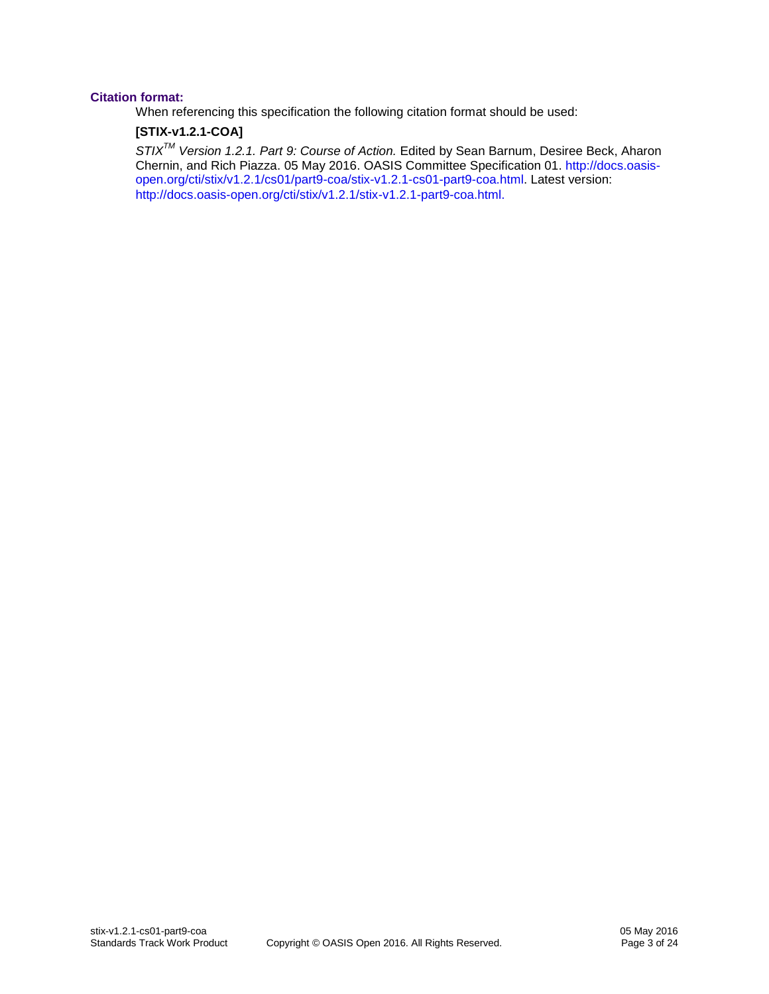#### **Citation format:**

When referencing this specification the following citation format should be used:

#### **[STIX-v1.2.1-COA]**

*STIXTM Version 1.2.1. Part 9: Course of Action.* Edited by Sean Barnum, Desiree Beck, Aharon Chernin, and Rich Piazza. 05 May 2016. OASIS Committee Specification 01. [http://docs.oasis](http://docs.oasis-open.org/cti/stix/v1.2.1/cs01/part9-coa/stix-v1.2.1-cs01-part9-coa.html)[open.org/cti/stix/v1.2.1/cs01/part9-coa/stix-v1.2.1-cs01-part9-coa.html.](http://docs.oasis-open.org/cti/stix/v1.2.1/cs01/part9-coa/stix-v1.2.1-cs01-part9-coa.html) Latest version: [http://docs.oasis-open.org/cti/stix/v1.2.1/stix-v1.2.1-part9-coa.html.](http://docs.oasis-open.org/cti/stix/v1.2.1/stix-v1.2.1-part9-coa.html)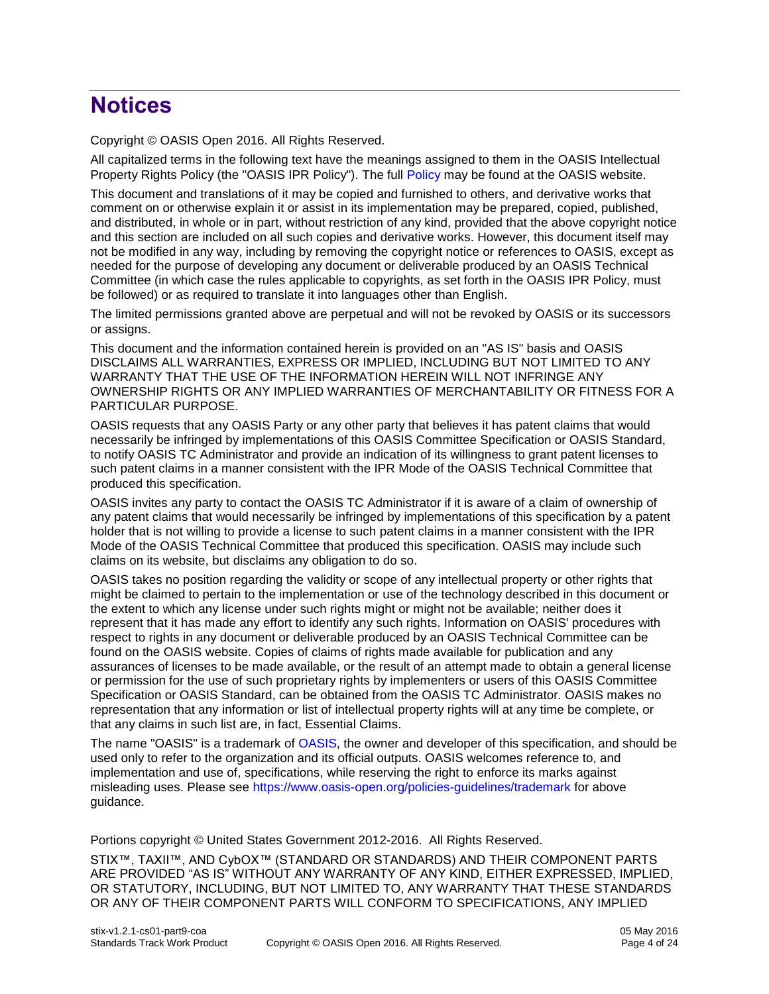## **Notices**

Copyright © OASIS Open 2016. All Rights Reserved.

All capitalized terms in the following text have the meanings assigned to them in the OASIS Intellectual Property Rights Policy (the "OASIS IPR Policy"). The full [Policy](https://www.oasis-open.org/policies-guidelines/ipr) may be found at the OASIS website.

This document and translations of it may be copied and furnished to others, and derivative works that comment on or otherwise explain it or assist in its implementation may be prepared, copied, published, and distributed, in whole or in part, without restriction of any kind, provided that the above copyright notice and this section are included on all such copies and derivative works. However, this document itself may not be modified in any way, including by removing the copyright notice or references to OASIS, except as needed for the purpose of developing any document or deliverable produced by an OASIS Technical Committee (in which case the rules applicable to copyrights, as set forth in the OASIS IPR Policy, must be followed) or as required to translate it into languages other than English.

The limited permissions granted above are perpetual and will not be revoked by OASIS or its successors or assigns.

This document and the information contained herein is provided on an "AS IS" basis and OASIS DISCLAIMS ALL WARRANTIES, EXPRESS OR IMPLIED, INCLUDING BUT NOT LIMITED TO ANY WARRANTY THAT THE USE OF THE INFORMATION HEREIN WILL NOT INFRINGE ANY OWNERSHIP RIGHTS OR ANY IMPLIED WARRANTIES OF MERCHANTABILITY OR FITNESS FOR A PARTICULAR PURPOSE.

OASIS requests that any OASIS Party or any other party that believes it has patent claims that would necessarily be infringed by implementations of this OASIS Committee Specification or OASIS Standard, to notify OASIS TC Administrator and provide an indication of its willingness to grant patent licenses to such patent claims in a manner consistent with the IPR Mode of the OASIS Technical Committee that produced this specification.

OASIS invites any party to contact the OASIS TC Administrator if it is aware of a claim of ownership of any patent claims that would necessarily be infringed by implementations of this specification by a patent holder that is not willing to provide a license to such patent claims in a manner consistent with the IPR Mode of the OASIS Technical Committee that produced this specification. OASIS may include such claims on its website, but disclaims any obligation to do so.

OASIS takes no position regarding the validity or scope of any intellectual property or other rights that might be claimed to pertain to the implementation or use of the technology described in this document or the extent to which any license under such rights might or might not be available; neither does it represent that it has made any effort to identify any such rights. Information on OASIS' procedures with respect to rights in any document or deliverable produced by an OASIS Technical Committee can be found on the OASIS website. Copies of claims of rights made available for publication and any assurances of licenses to be made available, or the result of an attempt made to obtain a general license or permission for the use of such proprietary rights by implementers or users of this OASIS Committee Specification or OASIS Standard, can be obtained from the OASIS TC Administrator. OASIS makes no representation that any information or list of intellectual property rights will at any time be complete, or that any claims in such list are, in fact, Essential Claims.

The name "OASIS" is a trademark of [OASIS,](https://www.oasis-open.org/) the owner and developer of this specification, and should be used only to refer to the organization and its official outputs. OASIS welcomes reference to, and implementation and use of, specifications, while reserving the right to enforce its marks against misleading uses. Please see<https://www.oasis-open.org/policies-guidelines/trademark> for above guidance.

Portions copyright © United States Government 2012-2016. All Rights Reserved.

STIX™, TAXII™, AND CybOX™ (STANDARD OR STANDARDS) AND THEIR COMPONENT PARTS ARE PROVIDED "AS IS" WITHOUT ANY WARRANTY OF ANY KIND, EITHER EXPRESSED, IMPLIED, OR STATUTORY, INCLUDING, BUT NOT LIMITED TO, ANY WARRANTY THAT THESE STANDARDS OR ANY OF THEIR COMPONENT PARTS WILL CONFORM TO SPECIFICATIONS, ANY IMPLIED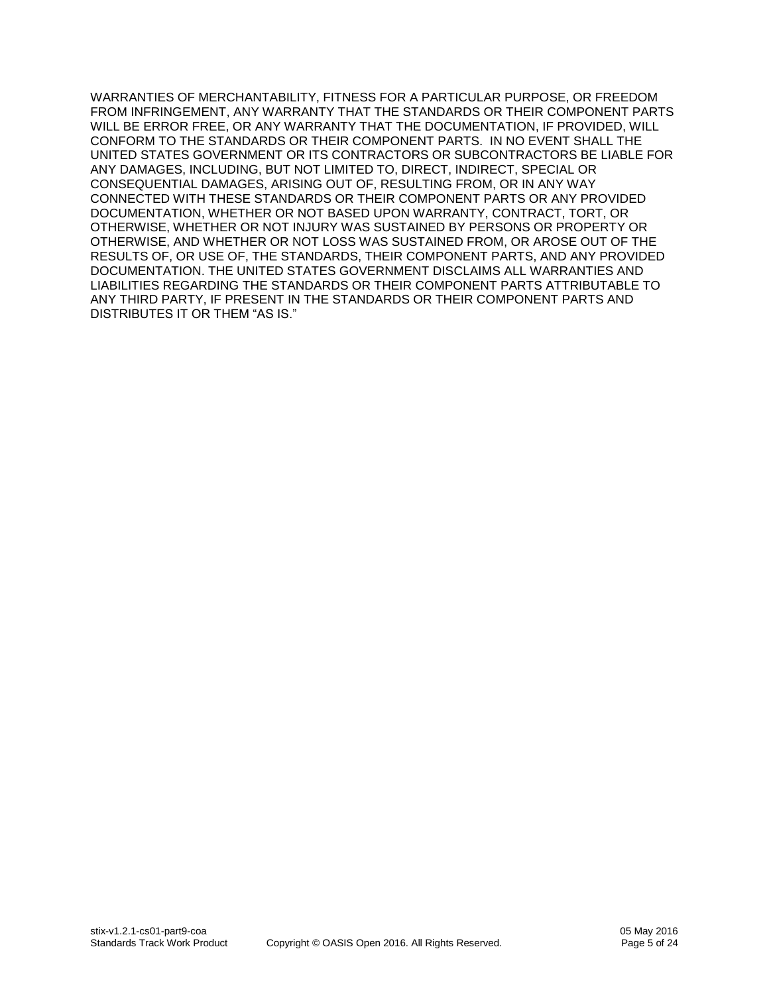WARRANTIES OF MERCHANTABILITY, FITNESS FOR A PARTICULAR PURPOSE, OR FREEDOM FROM INFRINGEMENT, ANY WARRANTY THAT THE STANDARDS OR THEIR COMPONENT PARTS WILL BE ERROR FREE, OR ANY WARRANTY THAT THE DOCUMENTATION, IF PROVIDED, WILL CONFORM TO THE STANDARDS OR THEIR COMPONENT PARTS. IN NO EVENT SHALL THE UNITED STATES GOVERNMENT OR ITS CONTRACTORS OR SUBCONTRACTORS BE LIABLE FOR ANY DAMAGES, INCLUDING, BUT NOT LIMITED TO, DIRECT, INDIRECT, SPECIAL OR CONSEQUENTIAL DAMAGES, ARISING OUT OF, RESULTING FROM, OR IN ANY WAY CONNECTED WITH THESE STANDARDS OR THEIR COMPONENT PARTS OR ANY PROVIDED DOCUMENTATION, WHETHER OR NOT BASED UPON WARRANTY, CONTRACT, TORT, OR OTHERWISE, WHETHER OR NOT INJURY WAS SUSTAINED BY PERSONS OR PROPERTY OR OTHERWISE, AND WHETHER OR NOT LOSS WAS SUSTAINED FROM, OR AROSE OUT OF THE RESULTS OF, OR USE OF, THE STANDARDS, THEIR COMPONENT PARTS, AND ANY PROVIDED DOCUMENTATION. THE UNITED STATES GOVERNMENT DISCLAIMS ALL WARRANTIES AND LIABILITIES REGARDING THE STANDARDS OR THEIR COMPONENT PARTS ATTRIBUTABLE TO ANY THIRD PARTY, IF PRESENT IN THE STANDARDS OR THEIR COMPONENT PARTS AND DISTRIBUTES IT OR THEM "AS IS."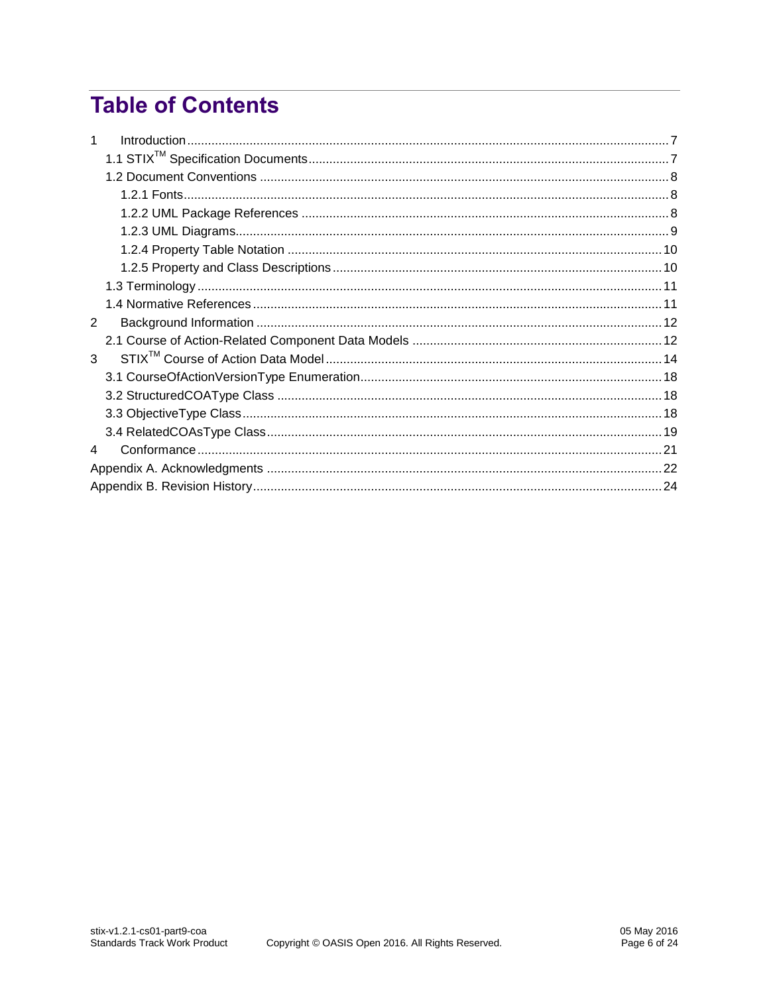## **Table of Contents**

| $\mathbf{1}$  |  |  |  |  |
|---------------|--|--|--|--|
|               |  |  |  |  |
|               |  |  |  |  |
|               |  |  |  |  |
|               |  |  |  |  |
|               |  |  |  |  |
|               |  |  |  |  |
|               |  |  |  |  |
|               |  |  |  |  |
|               |  |  |  |  |
| $\mathcal{P}$ |  |  |  |  |
|               |  |  |  |  |
| 3             |  |  |  |  |
|               |  |  |  |  |
|               |  |  |  |  |
|               |  |  |  |  |
|               |  |  |  |  |
| 4             |  |  |  |  |
|               |  |  |  |  |
|               |  |  |  |  |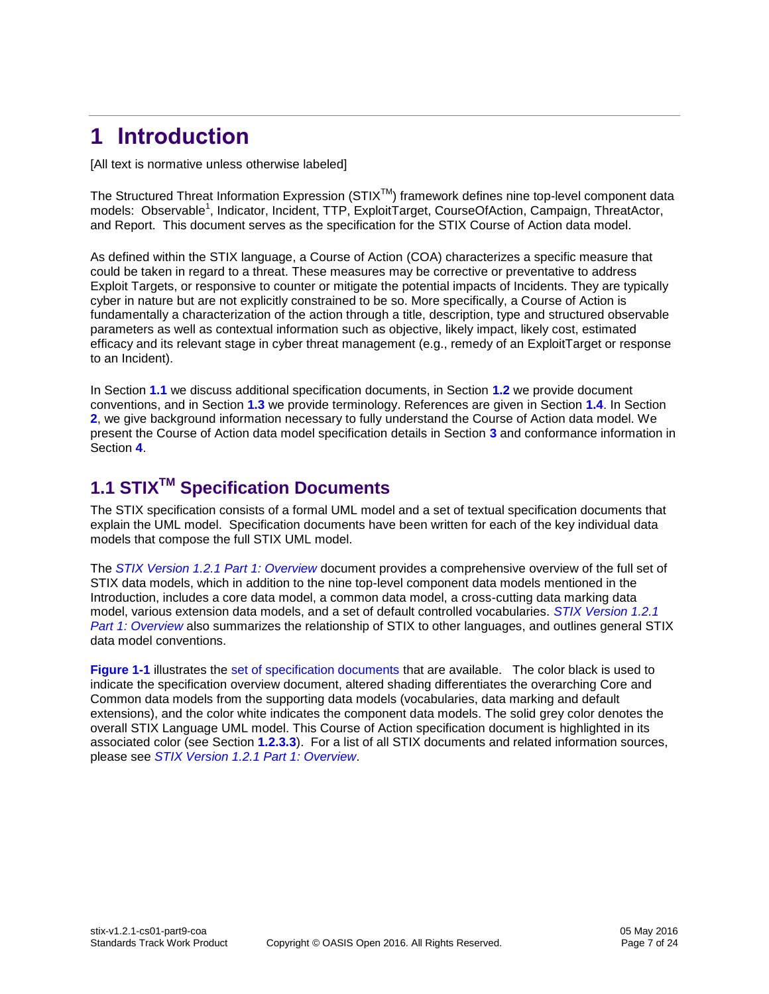## <span id="page-6-0"></span>**1 Introduction**

[All text is normative unless otherwise labeled]

The Structured Threat Information Expression (STIX™) framework defines nine top-level component data models: Observable<sup>1</sup>, Indicator, Incident, TTP, ExploitTarget, CourseOfAction, Campaign, ThreatActor, and Report. This document serves as the specification for the STIX Course of Action data model.

As defined within the STIX language, a Course of Action (COA) characterizes a specific measure that could be taken in regard to a threat. These measures may be corrective or preventative to address Exploit Targets, or responsive to counter or mitigate the potential impacts of Incidents. They are typically cyber in nature but are not explicitly constrained to be so. More specifically, a Course of Action is fundamentally a characterization of the action through a title, description, type and structured observable parameters as well as contextual information such as objective, likely impact, likely cost, estimated efficacy and its relevant stage in cyber threat management (e.g., remedy of an ExploitTarget or response to an Incident).

In Section **[1.1](#page-6-1)** we discuss additional specification documents, in Section **[1.2](#page-7-0)** we provide document conventions, and in Section **[1.3](#page-10-0)** we provide terminology. References are given in Section **[1.4](#page-10-1)**. In Section **[2](#page-11-0)**, we give background information necessary to fully understand the Course of Action data model. We present the Course of Action data model specification details in Section **[3](#page-13-0)** and conformance information in Section **[4](#page-20-0)**.

### <span id="page-6-1"></span>**1.1 STIXTM Specification Documents**

The STIX specification consists of a formal UML model and a set of textual specification documents that explain the UML model. Specification documents have been written for each of the key individual data models that compose the full STIX UML model.

The *[STIX Version 1.2.1 Part 1: Overview](#page-0-0)* document provides a comprehensive overview of the full set of STIX data models, which in addition to the nine top-level component data models mentioned in the Introduction, includes a core data model, a common data model, a cross-cutting data marking data model, various extension data models, and a set of default controlled vocabularies. *[STIX Version 1.2.1](#page-0-0)  [Part 1: Overview](#page-0-0)* also summarizes the relationship of STIX to other languages, and outlines general STIX data model conventions.

**[Figure 1-1](#page-7-3)** illustrates the [set of specification documents](#page-0-0) that are available. The color black is used to indicate the specification overview document, altered shading differentiates the overarching Core and Common data models from the supporting data models (vocabularies, data marking and default extensions), and the color white indicates the component data models. The solid grey color denotes the overall STIX Language UML model. This Course of Action specification document is highlighted in its associated color (see Section **[1.2.3.3](#page-9-2)**). For a list of all STIX documents and related information sources, please see *[STIX Version 1.2.1 Part 1: Overview](#page-0-0)*.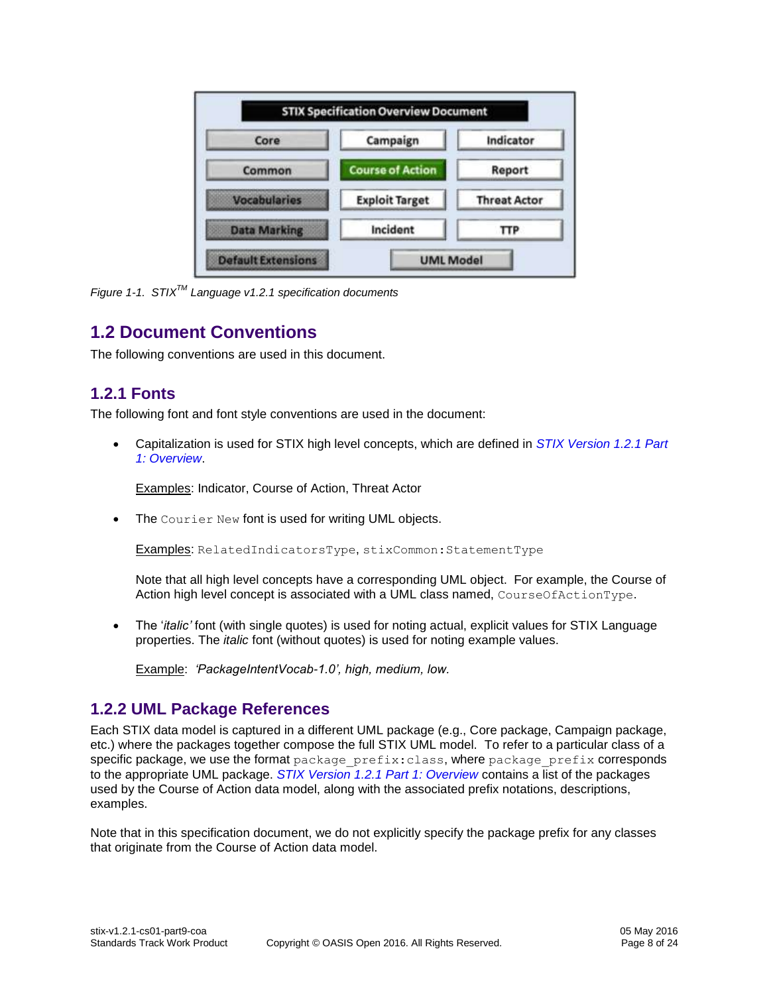| Core                | Campaign                | Indicator<br>Report<br><b>Threat Actor</b> |  |
|---------------------|-------------------------|--------------------------------------------|--|
| Common              | <b>Course of Action</b> |                                            |  |
| <b>Vocabularies</b> | <b>Exploit Target</b>   |                                            |  |
| <b>Data Marking</b> | Incident                | TTP.                                       |  |

<span id="page-7-3"></span>*Figure 1-1. STIXTM Language v1.2.1 specification documents*

#### <span id="page-7-0"></span>**1.2 Document Conventions**

The following conventions are used in this document.

#### <span id="page-7-1"></span>**1.2.1 Fonts**

The following font and font style conventions are used in the document:

 Capitalization is used for STIX high level concepts, which are defined in *[STIX Version 1.2.1 Part](#page-0-0)  [1: Overview](#page-0-0)*.

Examples: Indicator, Course of Action, Threat Actor

The Courier New font is used for writing UML objects.

Examples: RelatedIndicatorsType, stixCommon:StatementType

Note that all high level concepts have a corresponding UML object. For example, the Course of Action high level concept is associated with a UML class named, CourseOfActionType.

 The '*italic'* font (with single quotes) is used for noting actual, explicit values for STIX Language properties. The *italic* font (without quotes) is used for noting example values.

Example: *'PackageIntentVocab-1.0', high, medium, low.*

#### <span id="page-7-2"></span>**1.2.2 UML Package References**

Each STIX data model is captured in a different UML package (e.g., Core package, Campaign package, etc.) where the packages together compose the full STIX UML model. To refer to a particular class of a specific package, we use the format package prefix:class, where package prefix corresponds to the appropriate UML package. *[STIX Version 1.2.1 Part 1: Overview](#page-0-0)* contains a list of the packages used by the Course of Action data model, along with the associated prefix notations, descriptions, examples.

Note that in this specification document, we do not explicitly specify the package prefix for any classes that originate from the Course of Action data model.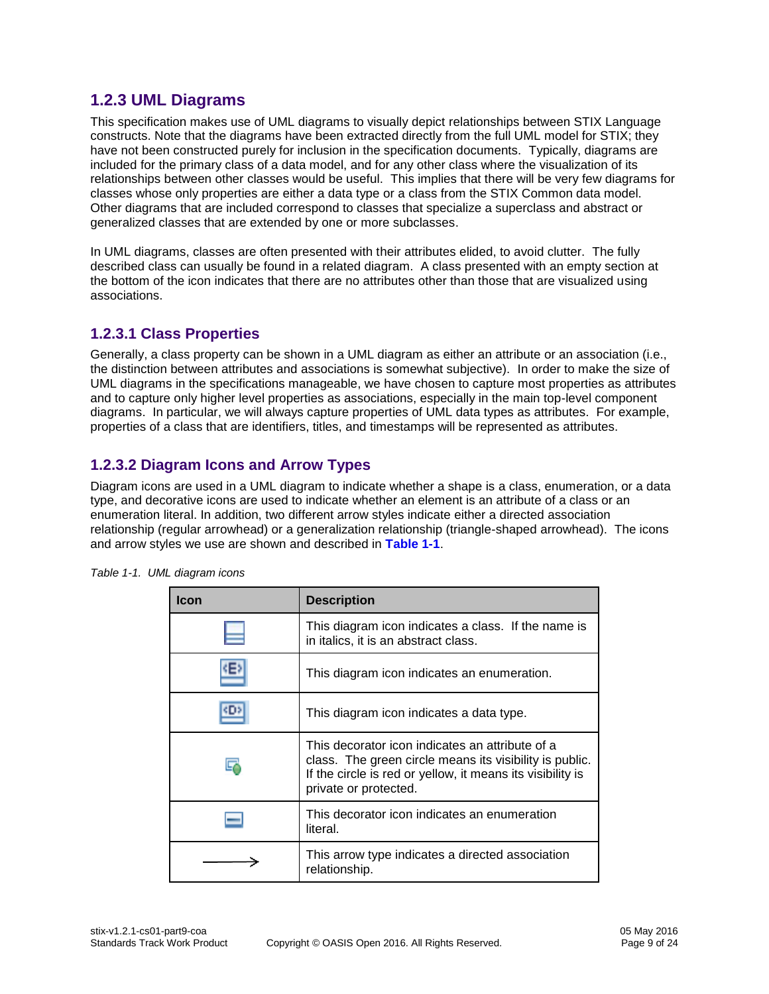#### <span id="page-8-0"></span>**1.2.3 UML Diagrams**

This specification makes use of UML diagrams to visually depict relationships between STIX Language constructs. Note that the diagrams have been extracted directly from the full UML model for STIX; they have not been constructed purely for inclusion in the specification documents. Typically, diagrams are included for the primary class of a data model, and for any other class where the visualization of its relationships between other classes would be useful. This implies that there will be very few diagrams for classes whose only properties are either a data type or a class from the STIX Common data model. Other diagrams that are included correspond to classes that specialize a superclass and abstract or generalized classes that are extended by one or more subclasses.

In UML diagrams, classes are often presented with their attributes elided, to avoid clutter. The fully described class can usually be found in a related diagram. A class presented with an empty section at the bottom of the icon indicates that there are no attributes other than those that are visualized using associations.

#### **1.2.3.1 Class Properties**

Generally, a class property can be shown in a UML diagram as either an attribute or an association (i.e., the distinction between attributes and associations is somewhat subjective). In order to make the size of UML diagrams in the specifications manageable, we have chosen to capture most properties as attributes and to capture only higher level properties as associations, especially in the main top-level component diagrams. In particular, we will always capture properties of UML data types as attributes. For example, properties of a class that are identifiers, titles, and timestamps will be represented as attributes.

#### **1.2.3.2 Diagram Icons and Arrow Types**

Diagram icons are used in a UML diagram to indicate whether a shape is a class, enumeration, or a data type, and decorative icons are used to indicate whether an element is an attribute of a class or an enumeration literal. In addition, two different arrow styles indicate either a directed association relationship (regular arrowhead) or a generalization relationship (triangle-shaped arrowhead). The icons and arrow styles we use are shown and described in **[Table 1-1](#page-8-1)**.

| Icon | <b>Description</b>                                                                                                                                                                                |
|------|---------------------------------------------------------------------------------------------------------------------------------------------------------------------------------------------------|
|      | This diagram icon indicates a class. If the name is<br>in italics, it is an abstract class.                                                                                                       |
|      | This diagram icon indicates an enumeration.                                                                                                                                                       |
|      | This diagram icon indicates a data type.                                                                                                                                                          |
|      | This decorator icon indicates an attribute of a<br>class. The green circle means its visibility is public.<br>If the circle is red or yellow, it means its visibility is<br>private or protected. |
|      | This decorator icon indicates an enumeration<br>literal.                                                                                                                                          |
|      | This arrow type indicates a directed association<br>relationship.                                                                                                                                 |

<span id="page-8-1"></span>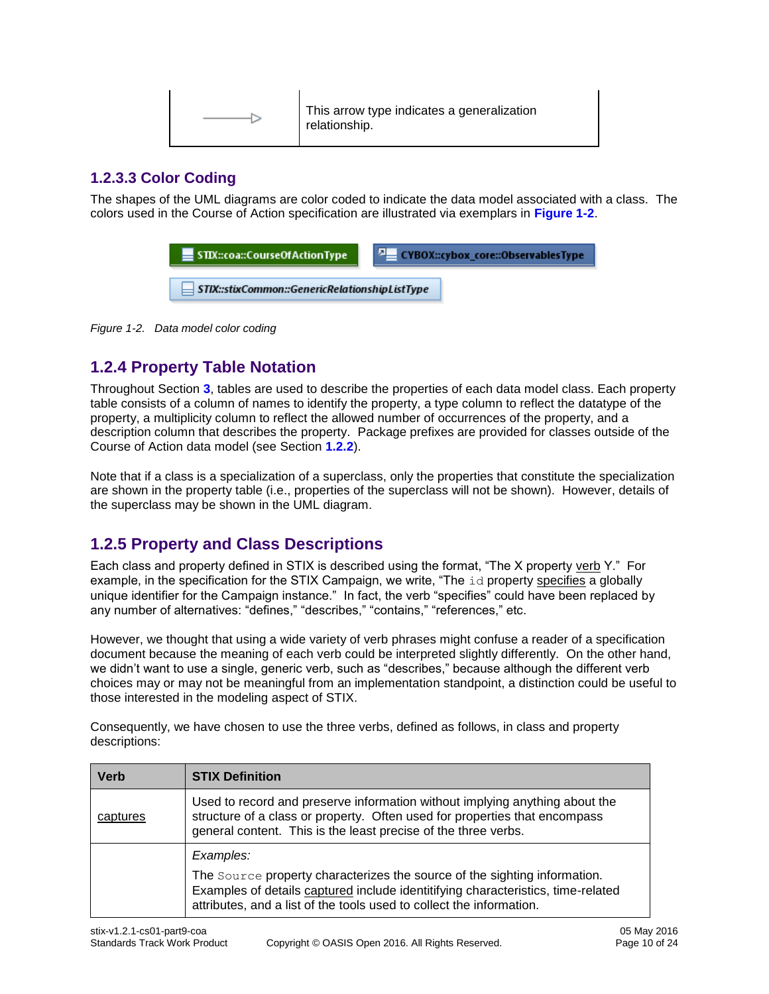| This arrow type indicates a generalization<br>relationship. |
|-------------------------------------------------------------|
|-------------------------------------------------------------|

#### <span id="page-9-2"></span>**1.2.3.3 Color Coding**

The shapes of the UML diagrams are color coded to indicate the data model associated with a class. The colors used in the Course of Action specification are illustrated via exemplars in **[Figure 1-2](#page-9-3)**.

| $\equiv$ STIX::coa::CourseOfActionType        | $\sqrt{2}$ CYBOX::cybox_core::ObservablesType |
|-----------------------------------------------|-----------------------------------------------|
| STIX::stixCommon::GenericRelationshipListType |                                               |

<span id="page-9-3"></span>*Figure 1-2. Data model color coding*

#### <span id="page-9-0"></span>**1.2.4 Property Table Notation**

Throughout Section **[3](#page-13-0)**, tables are used to describe the properties of each data model class. Each property table consists of a column of names to identify the property, a type column to reflect the datatype of the property, a multiplicity column to reflect the allowed number of occurrences of the property, and a description column that describes the property. Package prefixes are provided for classes outside of the Course of Action data model (see Section **[1.2.2](#page-7-2)**).

Note that if a class is a specialization of a superclass, only the properties that constitute the specialization are shown in the property table (i.e., properties of the superclass will not be shown). However, details of the superclass may be shown in the UML diagram.

#### <span id="page-9-1"></span>**1.2.5 Property and Class Descriptions**

Each class and property defined in STIX is described using the format, "The X property verb Y." For example, in the specification for the STIX Campaign, we write, "The id property specifies a globally unique identifier for the Campaign instance." In fact, the verb "specifies" could have been replaced by any number of alternatives: "defines," "describes," "contains," "references," etc.

However, we thought that using a wide variety of verb phrases might confuse a reader of a specification document because the meaning of each verb could be interpreted slightly differently. On the other hand, we didn't want to use a single, generic verb, such as "describes," because although the different verb choices may or may not be meaningful from an implementation standpoint, a distinction could be useful to those interested in the modeling aspect of STIX.

Consequently, we have chosen to use the three verbs, defined as follows, in class and property descriptions:

| <b>Verb</b> | <b>STIX Definition</b>                                                                                                                                                                                                                |  |  |  |
|-------------|---------------------------------------------------------------------------------------------------------------------------------------------------------------------------------------------------------------------------------------|--|--|--|
| captures    | Used to record and preserve information without implying anything about the<br>structure of a class or property. Often used for properties that encompass<br>general content. This is the least precise of the three verbs.           |  |  |  |
|             | Examples:                                                                                                                                                                                                                             |  |  |  |
|             | The Source property characterizes the source of the sighting information.<br>Examples of details captured include identitifying characteristics, time-related<br>attributes, and a list of the tools used to collect the information. |  |  |  |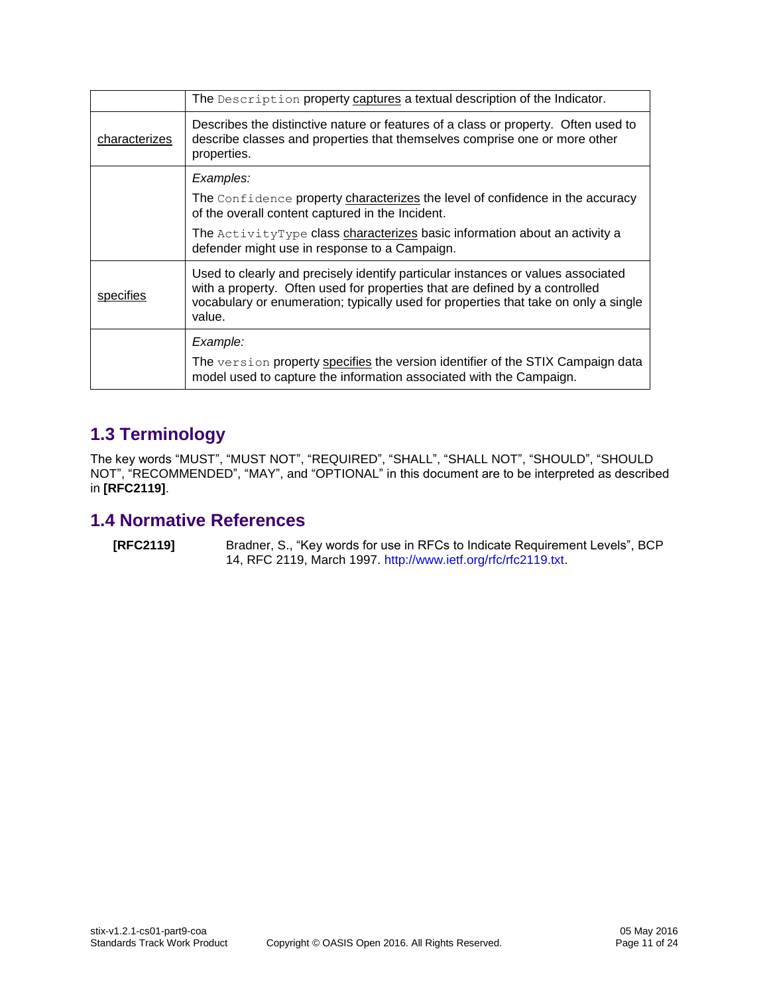|                  | The Description property captures a textual description of the Indicator.                                                                                                                                                                                        |
|------------------|------------------------------------------------------------------------------------------------------------------------------------------------------------------------------------------------------------------------------------------------------------------|
| characterizes    | Describes the distinctive nature or features of a class or property. Often used to<br>describe classes and properties that themselves comprise one or more other<br>properties.                                                                                  |
|                  | Examples:                                                                                                                                                                                                                                                        |
|                  | The Confidence property characterizes the level of confidence in the accuracy<br>of the overall content captured in the Incident.                                                                                                                                |
|                  | The ActivityType class characterizes basic information about an activity a<br>defender might use in response to a Campaign.                                                                                                                                      |
| <u>specifies</u> | Used to clearly and precisely identify particular instances or values associated<br>with a property. Often used for properties that are defined by a controlled<br>vocabulary or enumeration; typically used for properties that take on only a single<br>value. |
|                  | Example:                                                                                                                                                                                                                                                         |
|                  | The version property specifies the version identifier of the STIX Campaign data<br>model used to capture the information associated with the Campaign.                                                                                                           |

#### <span id="page-10-0"></span>**1.3 Terminology**

The key words "MUST", "MUST NOT", "REQUIRED", "SHALL", "SHALL NOT", "SHOULD", "SHOULD NOT", "RECOMMENDED", "MAY", and "OPTIONAL" in this document are to be interpreted as described in **[\[RFC2119\]](#page-10-2)**.

#### <span id="page-10-1"></span>**1.4 Normative References**

<span id="page-10-2"></span>**[RFC2119]** Bradner, S., "Key words for use in RFCs to Indicate Requirement Levels", BCP 14, RFC 2119, March 1997. [http://www.ietf.org/rfc/rfc2119.txt.](http://www.ietf.org/rfc/rfc2119.txt)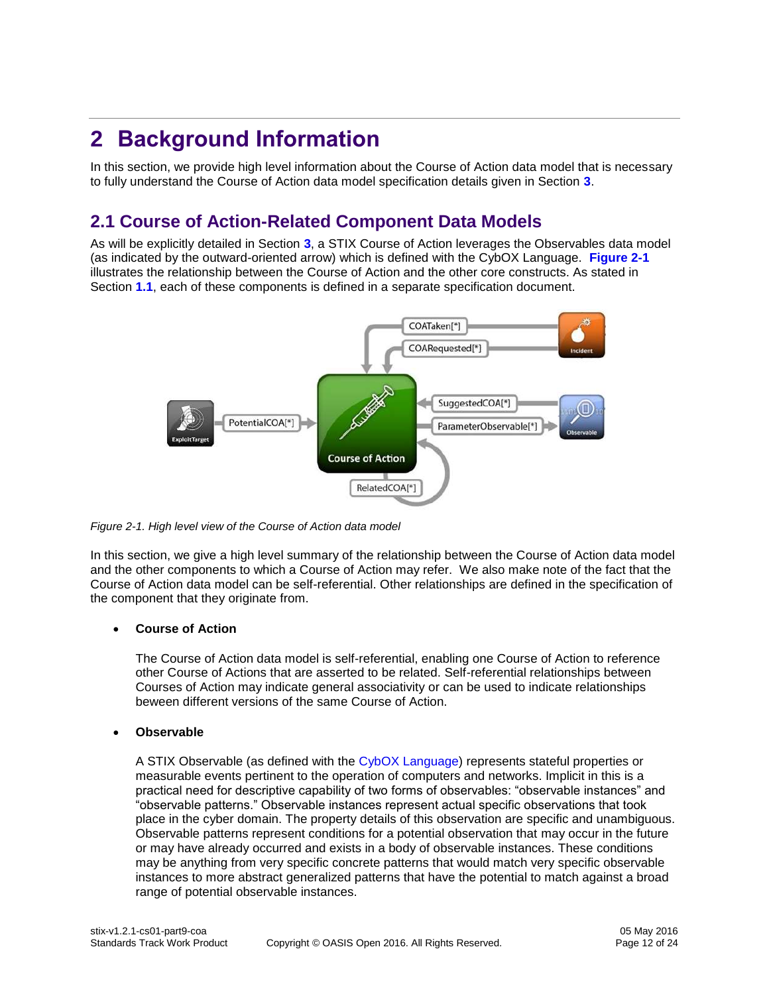## <span id="page-11-0"></span>**2 Background Information**

In this section, we provide high level information about the Course of Action data model that is necessary to fully understand the Course of Action data model specification details given in Section **[3](#page-13-0)**.

#### <span id="page-11-1"></span>**2.1 Course of Action-Related Component Data Models**

As will be explicitly detailed in Section **[3](#page-13-0)**, a STIX Course of Action leverages the Observables data model (as indicated by the outward-oriented arrow) which is defined with the CybOX Language. **[Figure 2-1](#page-11-2)** illustrates the relationship between the Course of Action and the other core constructs. As stated in Section **[1.1](#page-6-1)**, each of these components is defined in a separate specification document.



<span id="page-11-2"></span>*Figure 2-1. High level view of the Course of Action data model*

In this section, we give a high level summary of the relationship between the Course of Action data model and the other components to which a Course of Action may refer. We also make note of the fact that the Course of Action data model can be self-referential. Other relationships are defined in the specification of the component that they originate from.

#### **Course of Action**

The Course of Action data model is self-referential, enabling one Course of Action to reference other Course of Actions that are asserted to be related. Self-referential relationships between Courses of Action may indicate general associativity or can be used to indicate relationships beween different versions of the same Course of Action.

#### **Observable**

A STIX Observable (as defined with the [CybOX Language\)](#page-1-0) represents stateful properties or measurable events pertinent to the operation of computers and networks. Implicit in this is a practical need for descriptive capability of two forms of observables: "observable instances" and "observable patterns." Observable instances represent actual specific observations that took place in the cyber domain. The property details of this observation are specific and unambiguous. Observable patterns represent conditions for a potential observation that may occur in the future or may have already occurred and exists in a body of observable instances. These conditions may be anything from very specific concrete patterns that would match very specific observable instances to more abstract generalized patterns that have the potential to match against a broad range of potential observable instances.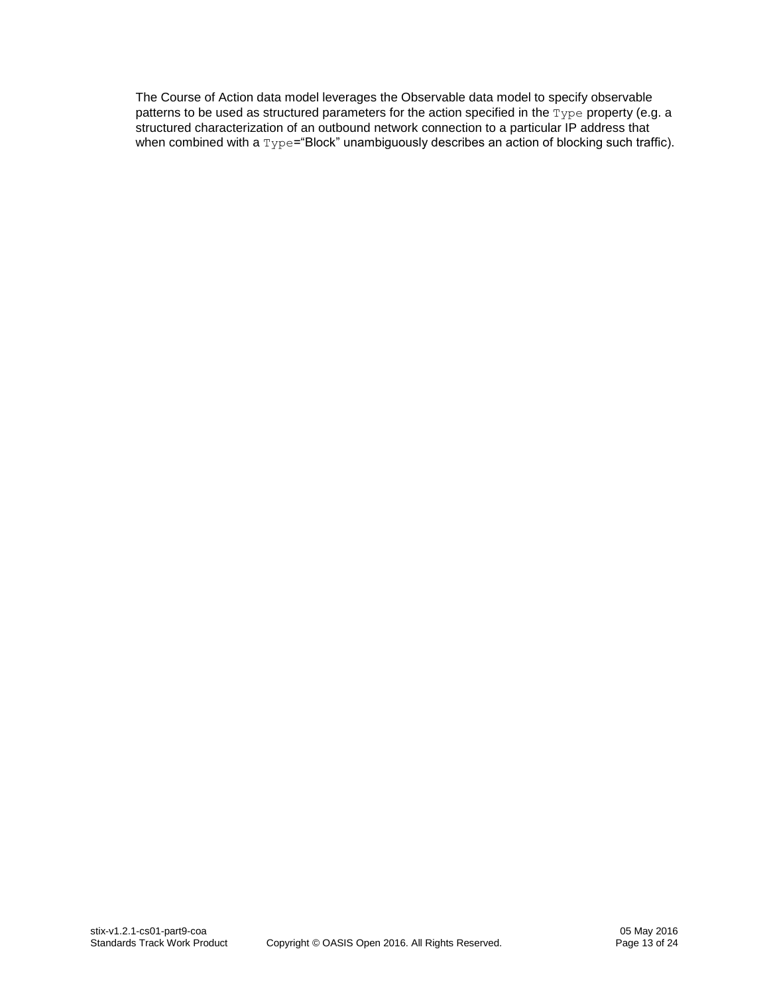The Course of Action data model leverages the Observable data model to specify observable patterns to be used as structured parameters for the action specified in the Type property (e.g. a structured characterization of an outbound network connection to a particular IP address that when combined with a  $Type="Block"$  unambiguously describes an action of blocking such traffic).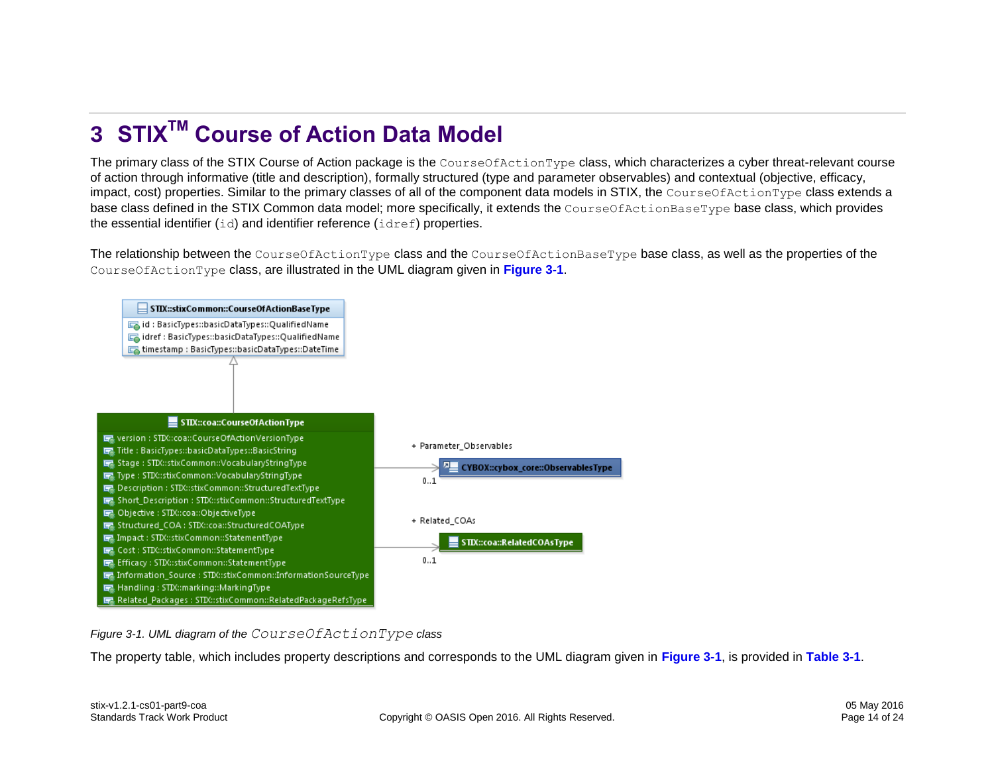## **3 STIXTM Course of Action Data Model**

The primary class of the STIX Course of Action package is the CourseOfActionType class, which characterizes a cyber threat-relevant course of action through informative (title and description), formally structured (type and parameter observables) and contextual (objective, efficacy, impact, cost) properties. Similar to the primary classes of all of the component data models in STIX, the CourseOfActionType class extends a base class defined in the STIX Common data model; more specifically, it extends the CourseOfActionBaseType base class, which provides the essential identifier  $(id)$  and identifier reference  $(idref)$  properties.

The relationship between the CourseOfActionType class and the CourseOfActionBaseType base class, as well as the properties of the CourseOfActionType class, are illustrated in the UML diagram given in **[Figure 3-1](#page-13-1)**.

<span id="page-13-0"></span>

<span id="page-13-1"></span>*Figure 3-1. UML diagram of the CourseOfActionType class*

The property table, which includes property descriptions and corresponds to the UML diagram given in **[Figure 3-1](#page-13-1)**, is provided in **[Table 3-1](#page-14-0)**.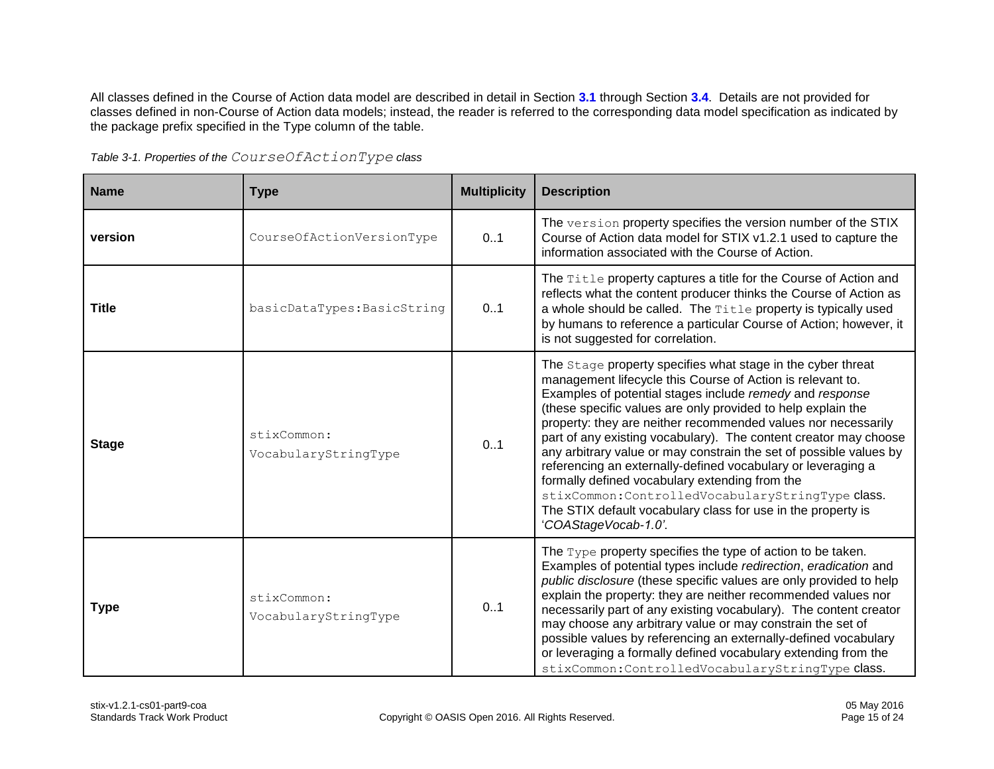All classes defined in the Course of Action data model are described in detail in Section **[3.1](#page-17-3)** through Section **[3.4](#page-18-1)**. Details are not provided for classes defined in non-Course of Action data models; instead, the reader is referred to the corresponding data model specification as indicated by the package prefix specified in the Type column of the table.

<span id="page-14-0"></span>

| <b>Name</b>  | <b>Type</b>                         | <b>Multiplicity</b> | <b>Description</b>                                                                                                                                                                                                                                                                                                                                                                                                                                                                                                                                                                                                                                                                                                              |
|--------------|-------------------------------------|---------------------|---------------------------------------------------------------------------------------------------------------------------------------------------------------------------------------------------------------------------------------------------------------------------------------------------------------------------------------------------------------------------------------------------------------------------------------------------------------------------------------------------------------------------------------------------------------------------------------------------------------------------------------------------------------------------------------------------------------------------------|
| version      | CourseOfActionVersionType           | 0.1                 | The version property specifies the version number of the STIX<br>Course of Action data model for STIX v1.2.1 used to capture the<br>information associated with the Course of Action.                                                                                                                                                                                                                                                                                                                                                                                                                                                                                                                                           |
| <b>Title</b> | basicDataTypes: BasicString         | 0.1                 | The Title property captures a title for the Course of Action and<br>reflects what the content producer thinks the Course of Action as<br>a whole should be called. The Title property is typically used<br>by humans to reference a particular Course of Action; however, it<br>is not suggested for correlation.                                                                                                                                                                                                                                                                                                                                                                                                               |
| <b>Stage</b> | stixCommon:<br>VocabularyStringType | 0.1                 | The Stage property specifies what stage in the cyber threat<br>management lifecycle this Course of Action is relevant to.<br>Examples of potential stages include remedy and response<br>(these specific values are only provided to help explain the<br>property: they are neither recommended values nor necessarily<br>part of any existing vocabulary). The content creator may choose<br>any arbitrary value or may constrain the set of possible values by<br>referencing an externally-defined vocabulary or leveraging a<br>formally defined vocabulary extending from the<br>stixCommon: ControlledVocabularyStringType class.<br>The STIX default vocabulary class for use in the property is<br>'COAStageVocab-1.0'. |
| <b>Type</b>  | stixCommon:<br>VocabularyStringType | 0.1                 | The $Type$ property specifies the type of action to be taken.<br>Examples of potential types include redirection, eradication and<br>public disclosure (these specific values are only provided to help<br>explain the property: they are neither recommended values nor<br>necessarily part of any existing vocabulary). The content creator<br>may choose any arbitrary value or may constrain the set of<br>possible values by referencing an externally-defined vocabulary<br>or leveraging a formally defined vocabulary extending from the<br>stixCommon: ControlledVocabularyStringType class.                                                                                                                           |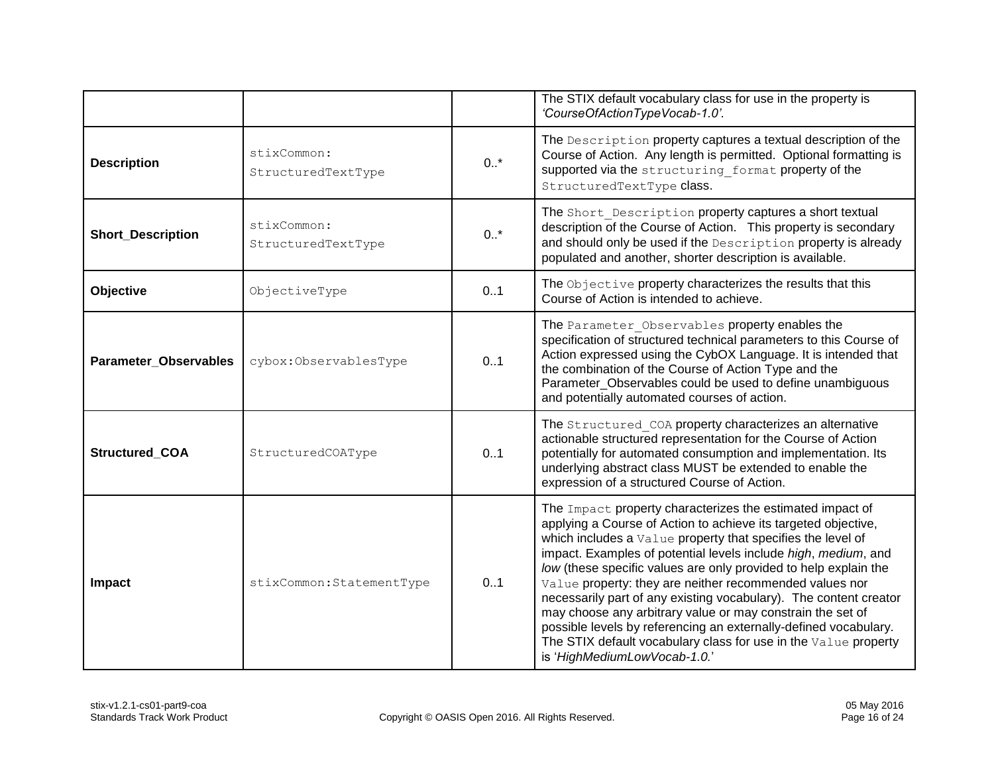|                              |                                   |        | The STIX default vocabulary class for use in the property is<br>'CourseOfActionTypeVocab-1.0'.                                                                                                                                                                                                                                                                                                                                                                                                                                                                                                                                                                                                        |
|------------------------------|-----------------------------------|--------|-------------------------------------------------------------------------------------------------------------------------------------------------------------------------------------------------------------------------------------------------------------------------------------------------------------------------------------------------------------------------------------------------------------------------------------------------------------------------------------------------------------------------------------------------------------------------------------------------------------------------------------------------------------------------------------------------------|
| <b>Description</b>           | stixCommon:<br>StructuredTextType | $0.1*$ | The Description property captures a textual description of the<br>Course of Action. Any length is permitted. Optional formatting is<br>supported via the structuring format property of the<br>StructuredTextType class.                                                                                                                                                                                                                                                                                                                                                                                                                                                                              |
| <b>Short_Description</b>     | stixCommon:<br>StructuredTextType | $0.$ * | The Short Description property captures a short textual<br>description of the Course of Action. This property is secondary<br>and should only be used if the Description property is already<br>populated and another, shorter description is available.                                                                                                                                                                                                                                                                                                                                                                                                                                              |
| Objective                    | ObjectiveType                     | 0.1    | The Objective property characterizes the results that this<br>Course of Action is intended to achieve.                                                                                                                                                                                                                                                                                                                                                                                                                                                                                                                                                                                                |
| <b>Parameter Observables</b> | cybox:ObservablesType             | 0.1    | The Parameter Observables property enables the<br>specification of structured technical parameters to this Course of<br>Action expressed using the CybOX Language. It is intended that<br>the combination of the Course of Action Type and the<br>Parameter_Observables could be used to define unambiguous<br>and potentially automated courses of action.                                                                                                                                                                                                                                                                                                                                           |
| Structured_COA               | StructuredCOAType                 | 0.1    | The Structured COA property characterizes an alternative<br>actionable structured representation for the Course of Action<br>potentially for automated consumption and implementation. Its<br>underlying abstract class MUST be extended to enable the<br>expression of a structured Course of Action.                                                                                                                                                                                                                                                                                                                                                                                                |
| Impact                       | stixCommon: StatementType         | 0.1    | The Impact property characterizes the estimated impact of<br>applying a Course of Action to achieve its targeted objective,<br>which includes a Value property that specifies the level of<br>impact. Examples of potential levels include high, medium, and<br>low (these specific values are only provided to help explain the<br>Value property: they are neither recommended values nor<br>necessarily part of any existing vocabulary). The content creator<br>may choose any arbitrary value or may constrain the set of<br>possible levels by referencing an externally-defined vocabulary.<br>The STIX default vocabulary class for use in the Value property<br>is 'HighMediumLowVocab-1.0.' |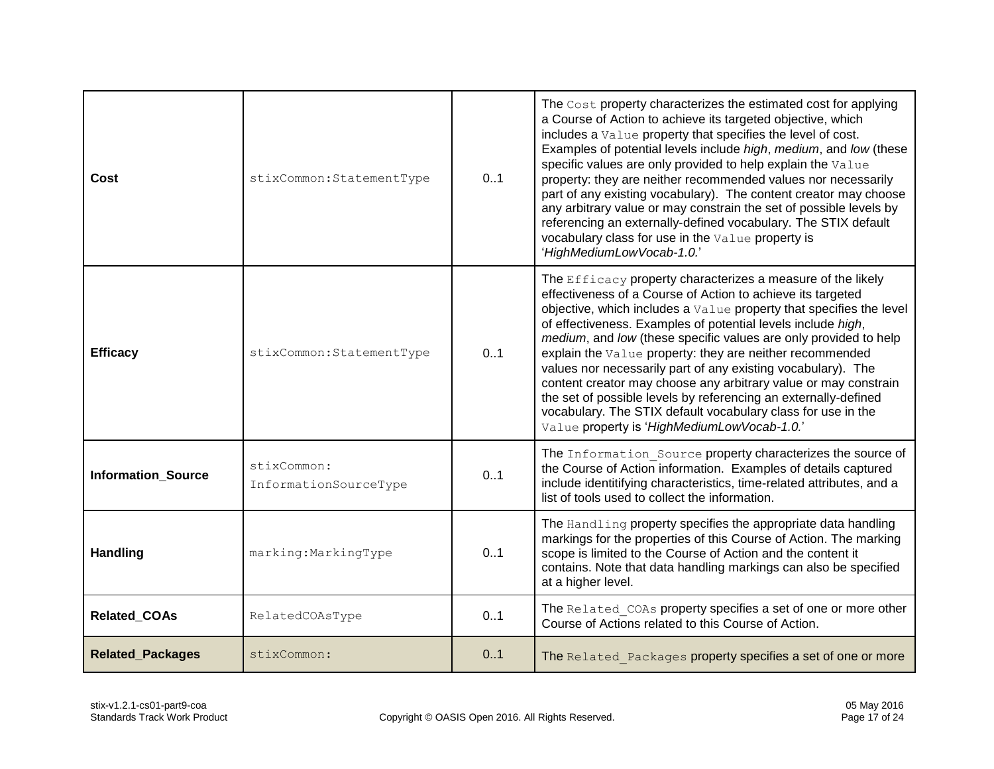| Cost                      | stixCommon: StatementType            | 0.1 | The Cost property characterizes the estimated cost for applying<br>a Course of Action to achieve its targeted objective, which<br>includes a Value property that specifies the level of cost.<br>Examples of potential levels include high, medium, and low (these<br>specific values are only provided to help explain the Value<br>property: they are neither recommended values nor necessarily<br>part of any existing vocabulary). The content creator may choose<br>any arbitrary value or may constrain the set of possible levels by<br>referencing an externally-defined vocabulary. The STIX default<br>vocabulary class for use in the Value property is<br>'HighMediumLowVocab-1.0.'                       |
|---------------------------|--------------------------------------|-----|------------------------------------------------------------------------------------------------------------------------------------------------------------------------------------------------------------------------------------------------------------------------------------------------------------------------------------------------------------------------------------------------------------------------------------------------------------------------------------------------------------------------------------------------------------------------------------------------------------------------------------------------------------------------------------------------------------------------|
| <b>Efficacy</b>           | stixCommon: StatementType            | 0.1 | The Efficacy property characterizes a measure of the likely<br>effectiveness of a Course of Action to achieve its targeted<br>objective, which includes a Value property that specifies the level<br>of effectiveness. Examples of potential levels include high,<br>medium, and low (these specific values are only provided to help<br>explain the Value property: they are neither recommended<br>values nor necessarily part of any existing vocabulary). The<br>content creator may choose any arbitrary value or may constrain<br>the set of possible levels by referencing an externally-defined<br>vocabulary. The STIX default vocabulary class for use in the<br>Value property is 'HighMediumLowVocab-1.0.' |
| <b>Information Source</b> | stixCommon:<br>InformationSourceType | 0.1 | The Information Source property characterizes the source of<br>the Course of Action information. Examples of details captured<br>include identitifying characteristics, time-related attributes, and a<br>list of tools used to collect the information.                                                                                                                                                                                                                                                                                                                                                                                                                                                               |
| <b>Handling</b>           | marking: MarkingType                 | 0.1 | The Handling property specifies the appropriate data handling<br>markings for the properties of this Course of Action. The marking<br>scope is limited to the Course of Action and the content it<br>contains. Note that data handling markings can also be specified<br>at a higher level.                                                                                                                                                                                                                                                                                                                                                                                                                            |
| Related_COAs              | RelatedCOAsType                      | 0.1 | The Related COAs property specifies a set of one or more other<br>Course of Actions related to this Course of Action.                                                                                                                                                                                                                                                                                                                                                                                                                                                                                                                                                                                                  |
| <b>Related_Packages</b>   | stixCommon:                          | 0.1 | The Related Packages property specifies a set of one or more                                                                                                                                                                                                                                                                                                                                                                                                                                                                                                                                                                                                                                                           |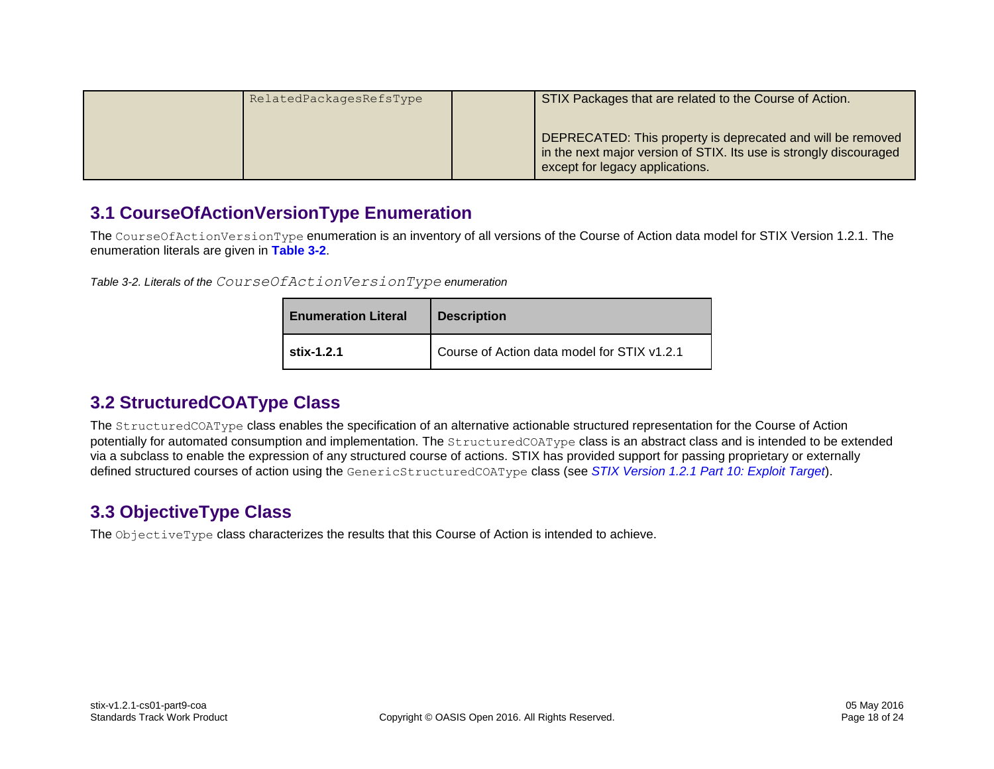| RelatedPackagesRefsType | STIX Packages that are related to the Course of Action.                                                                                                              |
|-------------------------|----------------------------------------------------------------------------------------------------------------------------------------------------------------------|
|                         | DEPRECATED: This property is deprecated and will be removed<br>in the next major version of STIX. Its use is strongly discouraged<br>except for legacy applications. |

#### <span id="page-17-3"></span>**3.1 CourseOfActionVersionType Enumeration**

The CourseOfActionVersionType enumeration is an inventory of all versions of the Course of Action data model for STIX Version 1.2.1. The enumeration literals are given in **[Table 3-2](#page-17-4)**.

<span id="page-17-4"></span>*Table 3-2. Literals of the CourseOfActionVersionType enumeration*

| <b>Enumeration Literal</b> | <b>Description</b>                          |
|----------------------------|---------------------------------------------|
| stix-1.2.1                 | Course of Action data model for STIX v1.2.1 |

#### **3.2 StructuredCOAType Class**

<span id="page-17-0"></span>The StructuredCOAType class enables the specification of an alternative actionable structured representation for the Course of Action potentially for automated consumption and implementation. The StructuredCOAType class is an abstract class and is intended to be extended via a subclass to enable the expression of any structured course of actions. STIX has provided support for passing proprietary or externally defined structured courses of action using the GenericStructuredCOAType class (see *[STIX Version 1.2.1 Part 10: Exploit Target](#page-0-1)*).

#### **3.3 ObjectiveType Class**

<span id="page-17-2"></span><span id="page-17-1"></span>The ObjectiveType class characterizes the results that this Course of Action is intended to achieve.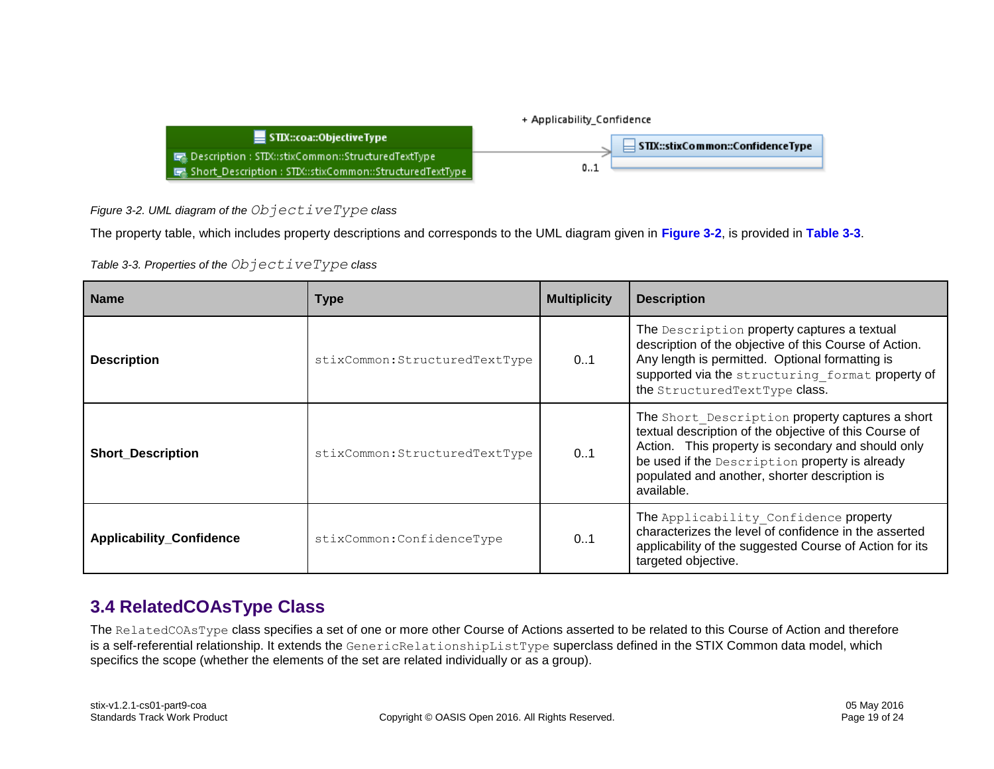

<span id="page-18-2"></span>*Figure 3-2. UML diagram of the ObjectiveType class*

The property table, which includes property descriptions and corresponds to the UML diagram given in **[Figure 3-2](#page-18-2)**, is provided in **[Table 3-3](#page-18-3)**.

<span id="page-18-3"></span>*Table 3-3. Properties of the ObjectiveType class*

| <b>Name</b>                     | Type                           | <b>Multiplicity</b> | <b>Description</b>                                                                                                                                                                                                                                                               |
|---------------------------------|--------------------------------|---------------------|----------------------------------------------------------------------------------------------------------------------------------------------------------------------------------------------------------------------------------------------------------------------------------|
| <b>Description</b>              | stixCommon: StructuredTextType | 01                  | The Description property captures a textual<br>description of the objective of this Course of Action.<br>Any length is permitted. Optional formatting is<br>supported via the structuring format property of<br>the StructuredTextType class.                                    |
| <b>Short_Description</b>        | stixCommon: StructuredTextType | 0.1                 | The Short Description property captures a short<br>textual description of the objective of this Course of<br>Action. This property is secondary and should only<br>be used if the Description property is already<br>populated and another, shorter description is<br>available. |
| <b>Applicability_Confidence</b> | stixCommon: ConfidenceType     | 0.1                 | The Applicability Confidence property<br>characterizes the level of confidence in the asserted<br>applicability of the suggested Course of Action for its<br>targeted objective.                                                                                                 |

#### <span id="page-18-1"></span>**3.4 RelatedCOAsType Class**

<span id="page-18-0"></span>The RelatedCOAsType class specifies a set of one or more other Course of Actions asserted to be related to this Course of Action and therefore is a self-referential relationship. It extends the GenericRelationshipListType superclass defined in the STIX Common data model, which specifics the scope (whether the elements of the set are related individually or as a group).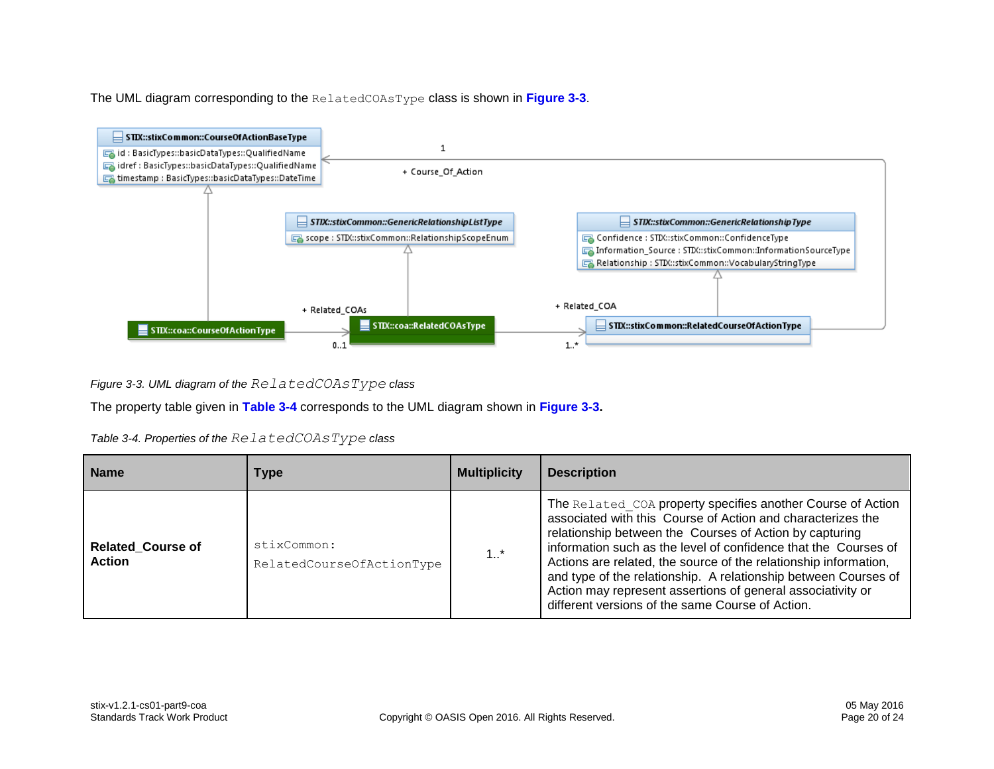The UML diagram corresponding to the RelatedCOAsType class is shown in **[Figure 3-3](#page-19-0)**.



<span id="page-19-0"></span>*Figure 3-3. UML diagram of the RelatedCOAsType class*

The property table given in **[Table 3-4](#page-19-1)** corresponds to the UML diagram shown in **[Figure 3-3.](#page-19-0)**

<span id="page-19-1"></span>*Table 3-4. Properties of the RelatedCOAsType class*

| <b>Name</b>                               | Type                                     | <b>Multiplicity</b> | <b>Description</b>                                                                                                                                                                                                                                                                                                                                                                                                                                                                                                 |
|-------------------------------------------|------------------------------------------|---------------------|--------------------------------------------------------------------------------------------------------------------------------------------------------------------------------------------------------------------------------------------------------------------------------------------------------------------------------------------------------------------------------------------------------------------------------------------------------------------------------------------------------------------|
| <b>Related Course of</b><br><b>Action</b> | stixCommon:<br>RelatedCourseOfActionType | 1.1                 | The Related COA property specifies another Course of Action<br>associated with this Course of Action and characterizes the<br>relationship between the Courses of Action by capturing<br>information such as the level of confidence that the Courses of<br>Actions are related, the source of the relationship information,<br>and type of the relationship. A relationship between Courses of<br>Action may represent assertions of general associativity or<br>different versions of the same Course of Action. |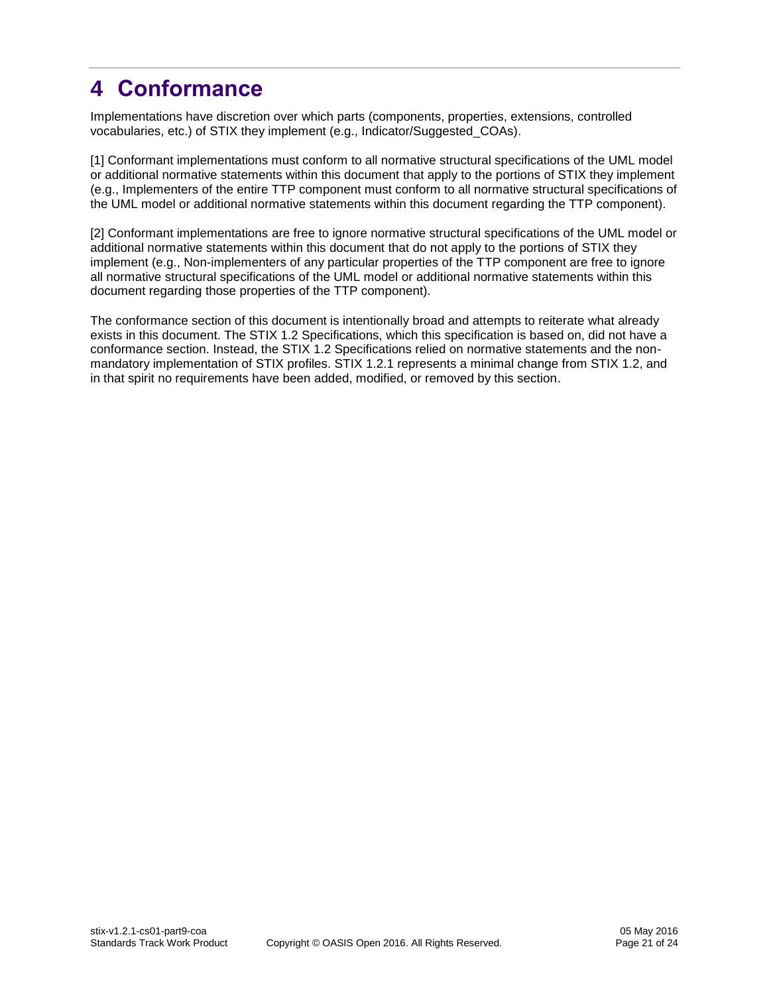## <span id="page-20-0"></span>**4 Conformance**

Implementations have discretion over which parts (components, properties, extensions, controlled vocabularies, etc.) of STIX they implement (e.g., Indicator/Suggested\_COAs).

[1] Conformant implementations must conform to all normative structural specifications of the UML model or additional normative statements within this document that apply to the portions of STIX they implement (e.g., Implementers of the entire TTP component must conform to all normative structural specifications of the UML model or additional normative statements within this document regarding the TTP component).

[2] Conformant implementations are free to ignore normative structural specifications of the UML model or additional normative statements within this document that do not apply to the portions of STIX they implement (e.g., Non-implementers of any particular properties of the TTP component are free to ignore all normative structural specifications of the UML model or additional normative statements within this document regarding those properties of the TTP component).

The conformance section of this document is intentionally broad and attempts to reiterate what already exists in this document. The STIX 1.2 Specifications, which this specification is based on, did not have a conformance section. Instead, the STIX 1.2 Specifications relied on normative statements and the nonmandatory implementation of STIX profiles. STIX 1.2.1 represents a minimal change from STIX 1.2, and in that spirit no requirements have been added, modified, or removed by this section.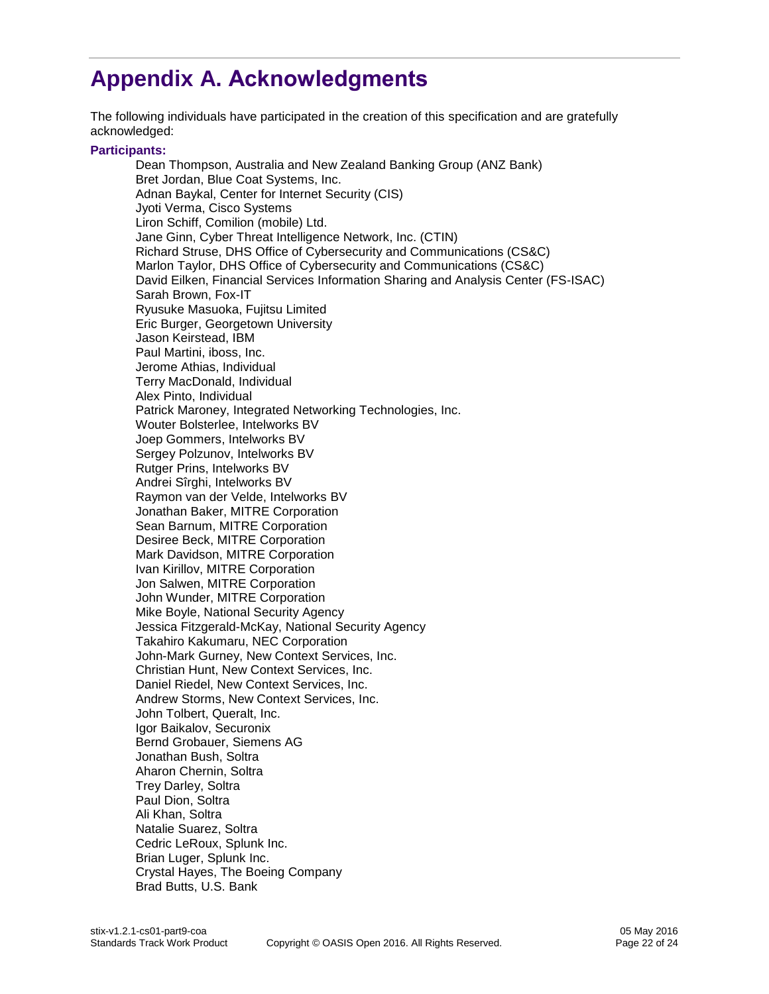## <span id="page-21-0"></span>**Appendix A. Acknowledgments**

The following individuals have participated in the creation of this specification and are gratefully acknowledged:

#### **Participants:**

Dean Thompson, Australia and New Zealand Banking Group (ANZ Bank) Bret Jordan, Blue Coat Systems, Inc. Adnan Baykal, Center for Internet Security (CIS) Jyoti Verma, Cisco Systems Liron Schiff, Comilion (mobile) Ltd. Jane Ginn, Cyber Threat Intelligence Network, Inc. (CTIN) Richard Struse, DHS Office of Cybersecurity and Communications (CS&C) Marlon Taylor, DHS Office of Cybersecurity and Communications (CS&C) David Eilken, Financial Services Information Sharing and Analysis Center (FS-ISAC) Sarah Brown, Fox-IT Ryusuke Masuoka, Fujitsu Limited Eric Burger, Georgetown University Jason Keirstead, IBM Paul Martini, iboss, Inc. Jerome Athias, Individual Terry MacDonald, Individual Alex Pinto, Individual Patrick Maroney, Integrated Networking Technologies, Inc. Wouter Bolsterlee, Intelworks BV Joep Gommers, Intelworks BV Sergey Polzunov, Intelworks BV Rutger Prins, Intelworks BV Andrei Sîrghi, Intelworks BV Raymon van der Velde, Intelworks BV Jonathan Baker, MITRE Corporation Sean Barnum, MITRE Corporation Desiree Beck, MITRE Corporation Mark Davidson, MITRE Corporation Ivan Kirillov, MITRE Corporation Jon Salwen, MITRE Corporation John Wunder, MITRE Corporation Mike Boyle, National Security Agency Jessica Fitzgerald-McKay, National Security Agency Takahiro Kakumaru, NEC Corporation John-Mark Gurney, New Context Services, Inc. Christian Hunt, New Context Services, Inc. Daniel Riedel, New Context Services, Inc. Andrew Storms, New Context Services, Inc. John Tolbert, Queralt, Inc. Igor Baikalov, Securonix Bernd Grobauer, Siemens AG Jonathan Bush, Soltra Aharon Chernin, Soltra Trey Darley, Soltra Paul Dion, Soltra Ali Khan, Soltra Natalie Suarez, Soltra Cedric LeRoux, Splunk Inc. Brian Luger, Splunk Inc. Crystal Hayes, The Boeing Company Brad Butts, U.S. Bank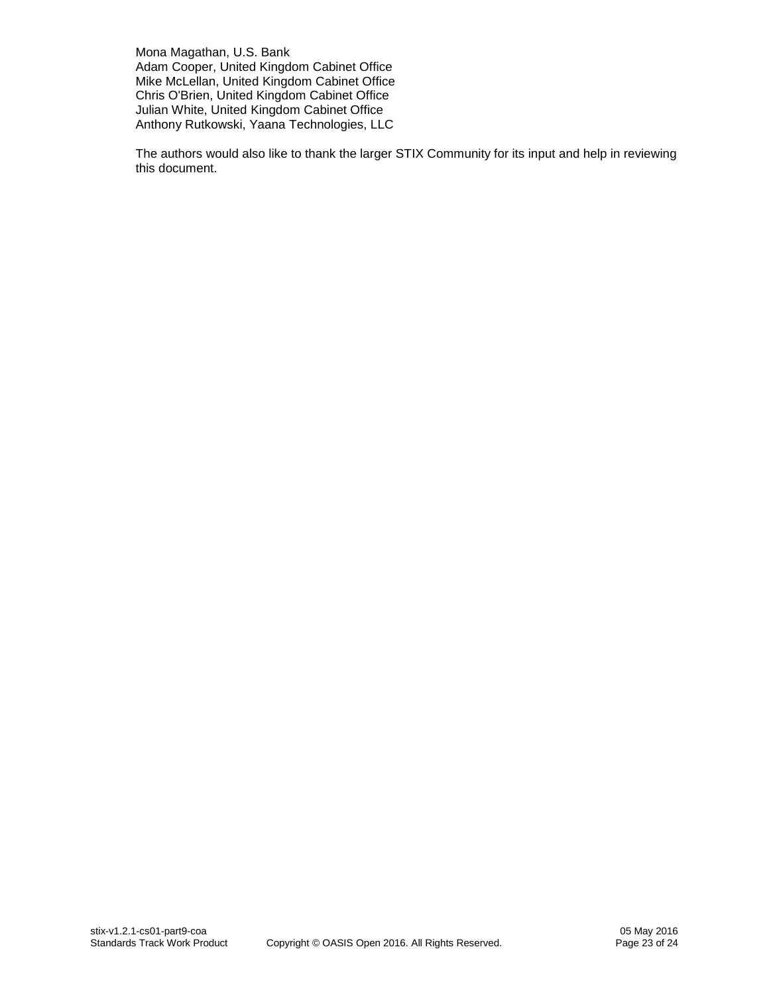Mona Magathan, U.S. Bank Adam Cooper, United Kingdom Cabinet Office Mike McLellan, United Kingdom Cabinet Office Chris O'Brien, United Kingdom Cabinet Office Julian White, United Kingdom Cabinet Office Anthony Rutkowski, Yaana Technologies, LLC

The authors would also like to thank the larger STIX Community for its input and help in reviewing this document.